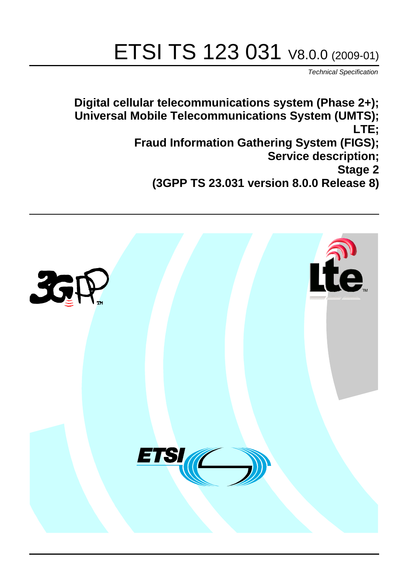# ETSI TS 123 031 V8.0.0 (2009-01)

*Technical Specification*

**Digital cellular telecommunications system (Phase 2+); Universal Mobile Telecommunications System (UMTS); LTE; Fraud Information Gathering System (FIGS); Service description; Stage 2 (3GPP TS 23.031 version 8.0.0 Release 8)**

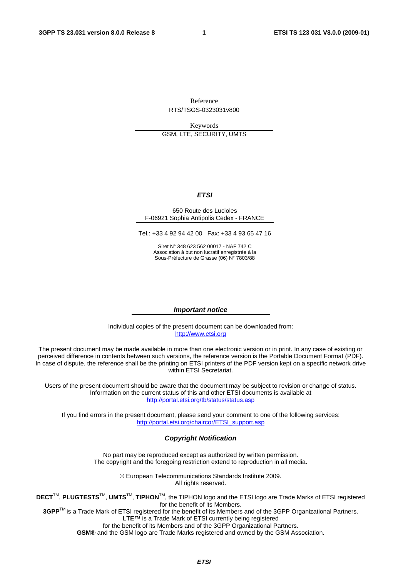Reference RTS/TSGS-0323031v800

Keywords GSM, LTE, SECURITY, UMTS

#### *ETSI*

#### 650 Route des Lucioles F-06921 Sophia Antipolis Cedex - FRANCE

Tel.: +33 4 92 94 42 00 Fax: +33 4 93 65 47 16

Siret N° 348 623 562 00017 - NAF 742 C Association à but non lucratif enregistrée à la Sous-Préfecture de Grasse (06) N° 7803/88

#### *Important notice*

Individual copies of the present document can be downloaded from: [http://www.etsi.org](http://www.etsi.org/)

The present document may be made available in more than one electronic version or in print. In any case of existing or perceived difference in contents between such versions, the reference version is the Portable Document Format (PDF). In case of dispute, the reference shall be the printing on ETSI printers of the PDF version kept on a specific network drive within ETSI Secretariat.

Users of the present document should be aware that the document may be subject to revision or change of status. Information on the current status of this and other ETSI documents is available at <http://portal.etsi.org/tb/status/status.asp>

If you find errors in the present document, please send your comment to one of the following services: [http://portal.etsi.org/chaircor/ETSI\\_support.asp](http://portal.etsi.org/chaircor/ETSI_support.asp)

#### *Copyright Notification*

No part may be reproduced except as authorized by written permission. The copyright and the foregoing restriction extend to reproduction in all media.

> © European Telecommunications Standards Institute 2009. All rights reserved.

**DECT**TM, **PLUGTESTS**TM, **UMTS**TM, **TIPHON**TM, the TIPHON logo and the ETSI logo are Trade Marks of ETSI registered for the benefit of its Members.

**3GPP**TM is a Trade Mark of ETSI registered for the benefit of its Members and of the 3GPP Organizational Partners. **LTE**™ is a Trade Mark of ETSI currently being registered

for the benefit of its Members and of the 3GPP Organizational Partners.

**GSM**® and the GSM logo are Trade Marks registered and owned by the GSM Association.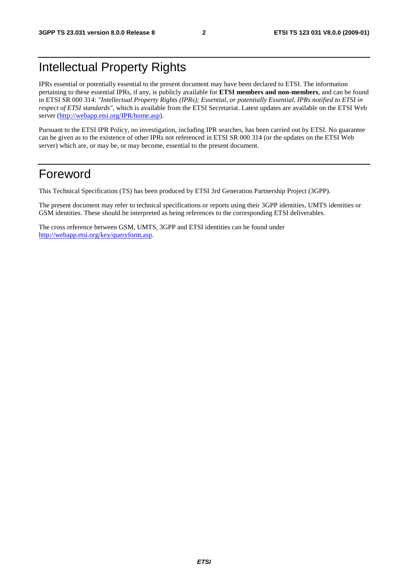# Intellectual Property Rights

IPRs essential or potentially essential to the present document may have been declared to ETSI. The information pertaining to these essential IPRs, if any, is publicly available for **ETSI members and non-members**, and can be found in ETSI SR 000 314: *"Intellectual Property Rights (IPRs); Essential, or potentially Essential, IPRs notified to ETSI in respect of ETSI standards"*, which is available from the ETSI Secretariat. Latest updates are available on the ETSI Web server [\(http://webapp.etsi.org/IPR/home.asp\)](http://webapp.etsi.org/IPR/home.asp).

Pursuant to the ETSI IPR Policy, no investigation, including IPR searches, has been carried out by ETSI. No guarantee can be given as to the existence of other IPRs not referenced in ETSI SR 000 314 (or the updates on the ETSI Web server) which are, or may be, or may become, essential to the present document.

### Foreword

This Technical Specification (TS) has been produced by ETSI 3rd Generation Partnership Project (3GPP).

The present document may refer to technical specifications or reports using their 3GPP identities, UMTS identities or GSM identities. These should be interpreted as being references to the corresponding ETSI deliverables.

The cross reference between GSM, UMTS, 3GPP and ETSI identities can be found under [http://webapp.etsi.org/key/queryform.asp.](http://webapp.etsi.org/key/queryform.asp)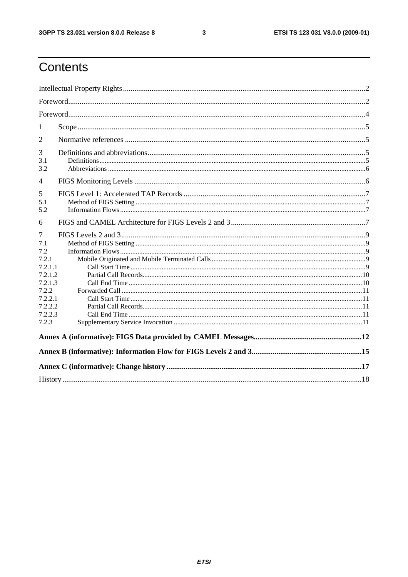$\mathbf{3}$ 

# Contents

| 1                |  |
|------------------|--|
| 2                |  |
| 3                |  |
| 3.1              |  |
| 3.2              |  |
| $\overline{4}$   |  |
| 5                |  |
| 5.1              |  |
| 5.2              |  |
| 6                |  |
| 7                |  |
| 7.1              |  |
| 7.2              |  |
| 7.2.1            |  |
| 7.2.1.1          |  |
| 7.2.1.2          |  |
| 7.2.1.3          |  |
| 7.2.2<br>7.2.2.1 |  |
| 7.2.2.2          |  |
| 7.2.2.3          |  |
| 7.2.3            |  |
|                  |  |
|                  |  |
|                  |  |
|                  |  |
|                  |  |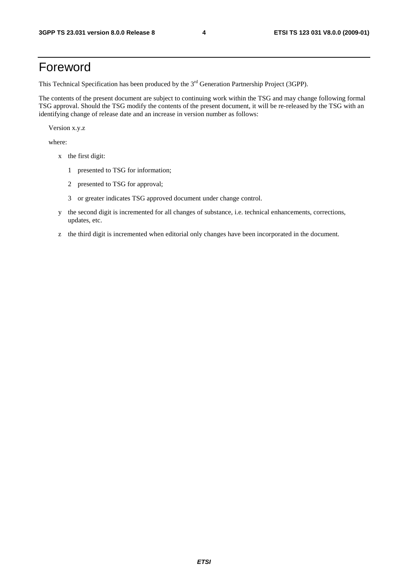### Foreword

This Technical Specification has been produced by the 3<sup>rd</sup> Generation Partnership Project (3GPP).

The contents of the present document are subject to continuing work within the TSG and may change following formal TSG approval. Should the TSG modify the contents of the present document, it will be re-released by the TSG with an identifying change of release date and an increase in version number as follows:

Version x.y.z

where:

- x the first digit:
	- 1 presented to TSG for information;
	- 2 presented to TSG for approval;
	- 3 or greater indicates TSG approved document under change control.
- y the second digit is incremented for all changes of substance, i.e. technical enhancements, corrections, updates, etc.
- z the third digit is incremented when editorial only changes have been incorporated in the document.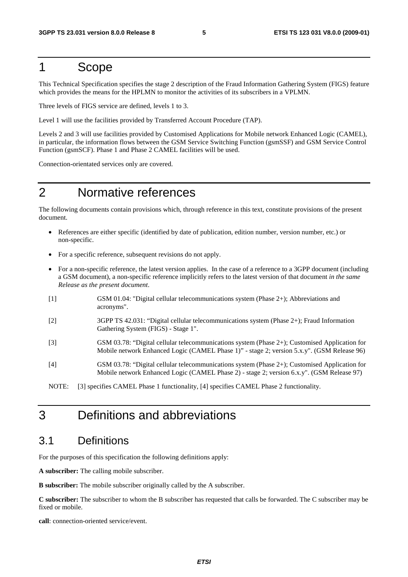### 1 Scope

This Technical Specification specifies the stage 2 description of the Fraud Information Gathering System (FIGS) feature which provides the means for the HPLMN to monitor the activities of its subscribers in a VPLMN.

Three levels of FIGS service are defined, levels 1 to 3.

Level 1 will use the facilities provided by Transferred Account Procedure (TAP).

Levels 2 and 3 will use facilities provided by Customised Applications for Mobile network Enhanced Logic (CAMEL), in particular, the information flows between the GSM Service Switching Function (gsmSSF) and GSM Service Control Function (gsmSCF). Phase 1 and Phase 2 CAMEL facilities will be used.

Connection-orientated services only are covered.

### 2 Normative references

The following documents contain provisions which, through reference in this text, constitute provisions of the present document.

- References are either specific (identified by date of publication, edition number, version number, etc.) or non-specific.
- For a specific reference, subsequent revisions do not apply.
- For a non-specific reference, the latest version applies. In the case of a reference to a 3GPP document (including a GSM document), a non-specific reference implicitly refers to the latest version of that document *in the same Release as the present document*.
- [1] GSM 01.04: "Digital cellular telecommunications system (Phase 2+); Abbreviations and acronyms".
- [2] 3GPP TS 42.031: "Digital cellular telecommunications system (Phase 2+); Fraud Information Gathering System (FIGS) - Stage 1".
- [3] GSM 03.78: "Digital cellular telecommunications system (Phase 2+); Customised Application for Mobile network Enhanced Logic (CAMEL Phase 1)" - stage 2; version 5.x.y". (GSM Release 96)
- [4] GSM 03.78: "Digital cellular telecommunications system (Phase 2+); Customised Application for Mobile network Enhanced Logic (CAMEL Phase 2) - stage 2; version 6.x.y". (GSM Release 97)

NOTE: [3] specifies CAMEL Phase 1 functionality, [4] specifies CAMEL Phase 2 functionality.

# 3 Definitions and abbreviations

### 3.1 Definitions

For the purposes of this specification the following definitions apply:

**A subscriber:** The calling mobile subscriber.

**B subscriber:** The mobile subscriber originally called by the A subscriber.

**C subscriber:** The subscriber to whom the B subscriber has requested that calls be forwarded. The C subscriber may be fixed or mobile.

**call**: connection-oriented service/event.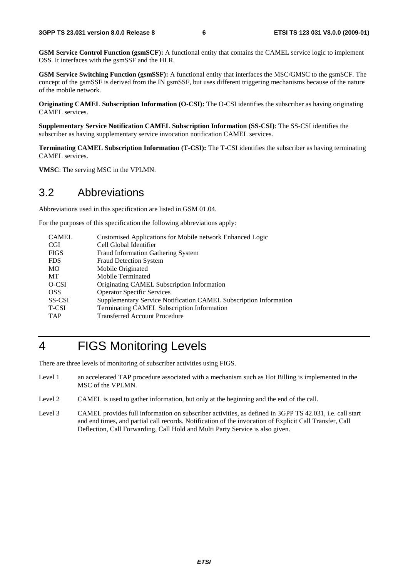**GSM Service Control Function (gsmSCF):** A functional entity that contains the CAMEL service logic to implement OSS. It interfaces with the gsmSSF and the HLR.

**GSM Service Switching Function (gsmSSF):** A functional entity that interfaces the MSC/GMSC to the gsmSCF. The concept of the gsmSSF is derived from the IN gsmSSF, but uses different triggering mechanisms because of the nature of the mobile network.

**Originating CAMEL Subscription Information (O-CSI):** The O-CSI identifies the subscriber as having originating CAMEL services.

**Supplementary Service Notification CAMEL Subscription Information (SS-CSI)**: The SS-CSI identifies the subscriber as having supplementary service invocation notification CAMEL services.

**Terminating CAMEL Subscription Information (T-CSI):** The T-CSI identifies the subscriber as having terminating CAMEL services.

**VMSC**: The serving MSC in the VPLMN.

### 3.2 Abbreviations

Abbreviations used in this specification are listed in GSM 01.04.

For the purposes of this specification the following abbreviations apply:

| <b>CAMEL</b> | Customised Applications for Mobile network Enhanced Logic         |
|--------------|-------------------------------------------------------------------|
| <b>CGI</b>   | Cell Global Identifier                                            |
| <b>FIGS</b>  | <b>Fraud Information Gathering System</b>                         |
| <b>FDS</b>   | <b>Fraud Detection System</b>                                     |
| MO.          | Mobile Originated                                                 |
| <b>MT</b>    | Mobile Terminated                                                 |
| O-CSI        | Originating CAMEL Subscription Information                        |
| <b>OSS</b>   | <b>Operator Specific Services</b>                                 |
| SS-CSI       | Supplementary Service Notification CAMEL Subscription Information |
| T-CSI        | Terminating CAMEL Subscription Information                        |
| <b>TAP</b>   | <b>Transferred Account Procedure</b>                              |

# 4 FIGS Monitoring Levels

There are three levels of monitoring of subscriber activities using FIGS.

- Level 1 an accelerated TAP procedure associated with a mechanism such as Hot Billing is implemented in the MSC of the VPLMN.
- Level 2 CAMEL is used to gather information, but only at the beginning and the end of the call.
- Level 3 CAMEL provides full information on subscriber activities, as defined in 3GPP TS 42.031, i.e. call start and end times, and partial call records. Notification of the invocation of Explicit Call Transfer, Call Deflection, Call Forwarding, Call Hold and Multi Party Service is also given.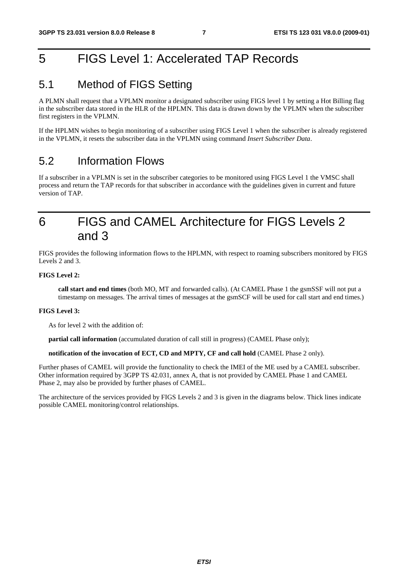# 5 FIGS Level 1: Accelerated TAP Records

### 5.1 Method of FIGS Setting

A PLMN shall request that a VPLMN monitor a designated subscriber using FIGS level 1 by setting a Hot Billing flag in the subscriber data stored in the HLR of the HPLMN. This data is drawn down by the VPLMN when the subscriber first registers in the VPLMN.

If the HPLMN wishes to begin monitoring of a subscriber using FIGS Level 1 when the subscriber is already registered in the VPLMN, it resets the subscriber data in the VPLMN using command *Insert Subscriber Data*.

### 5.2 Information Flows

If a subscriber in a VPLMN is set in the subscriber categories to be monitored using FIGS Level 1 the VMSC shall process and return the TAP records for that subscriber in accordance with the guidelines given in current and future version of TAP.

## 6 FIGS and CAMEL Architecture for FIGS Levels 2 and 3

FIGS provides the following information flows to the HPLMN, with respect to roaming subscribers monitored by FIGS Levels 2 and 3.

#### **FIGS Level 2:**

**call start and end times** (both MO, MT and forwarded calls). (At CAMEL Phase 1 the gsmSSF will not put a timestamp on messages. The arrival times of messages at the gsmSCF will be used for call start and end times.)

#### **FIGS Level 3:**

As for level 2 with the addition of:

**partial call information** (accumulated duration of call still in progress) (CAMEL Phase only);

**notification of the invocation of ECT, CD and MPTY, CF and call hold** (CAMEL Phase 2 only).

Further phases of CAMEL will provide the functionality to check the IMEI of the ME used by a CAMEL subscriber. Other information required by 3GPP TS 42.031, annex A, that is not provided by CAMEL Phase 1 and CAMEL Phase 2, may also be provided by further phases of CAMEL.

The architecture of the services provided by FIGS Levels 2 and 3 is given in the diagrams below. Thick lines indicate possible CAMEL monitoring/control relationships.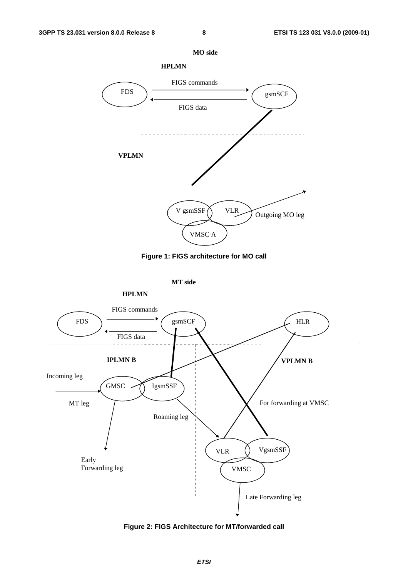







**Figure 2: FIGS Architecture for MT/forwarded call**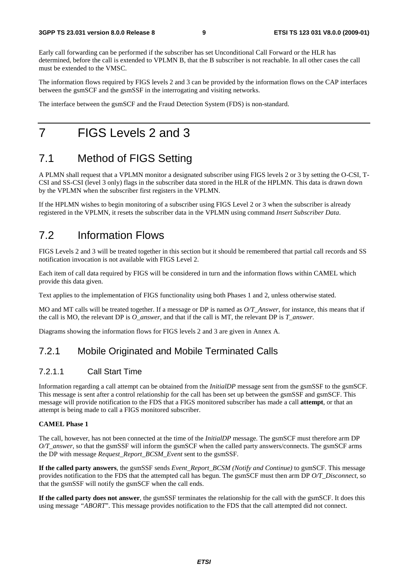Early call forwarding can be performed if the subscriber has set Unconditional Call Forward or the HLR has determined, before the call is extended to VPLMN B, that the B subscriber is not reachable. In all other cases the call must be extended to the VMSC.

The information flows required by FIGS levels 2 and 3 can be provided by the information flows on the CAP interfaces between the gsmSCF and the gsmSSF in the interrogating and visiting networks.

The interface between the gsmSCF and the Fraud Detection System (FDS) is non-standard.

# 7 FIGS Levels 2 and 3

### 7.1 Method of FIGS Setting

A PLMN shall request that a VPLMN monitor a designated subscriber using FIGS levels 2 or 3 by setting the O-CSI, T-CSI and SS-CSI (level 3 only) flags in the subscriber data stored in the HLR of the HPLMN. This data is drawn down by the VPLMN when the subscriber first registers in the VPLMN.

If the HPLMN wishes to begin monitoring of a subscriber using FIGS Level 2 or 3 when the subscriber is already registered in the VPLMN, it resets the subscriber data in the VPLMN using command *Insert Subscriber Data*.

### 7.2 Information Flows

FIGS Levels 2 and 3 will be treated together in this section but it should be remembered that partial call records and SS notification invocation is not available with FIGS Level 2.

Each item of call data required by FIGS will be considered in turn and the information flows within CAMEL which provide this data given.

Text applies to the implementation of FIGS functionality using both Phases 1 and 2, unless otherwise stated.

MO and MT calls will be treated together. If a message or DP is named as *O/T\_Answer*, for instance, this means that if the call is MO, the relevant DP is *O\_answer*, and that if the call is MT, the relevant DP is *T\_answer*.

Diagrams showing the information flows for FIGS levels 2 and 3 are given in Annex A.

#### 7.2.1 Mobile Originated and Mobile Terminated Calls

#### 7.2.1.1 Call Start Time

Information regarding a call attempt can be obtained from the *InitialDP* message sent from the gsmSSF to the gsmSCF. This message is sent after a control relationship for the call has been set up between the gsmSSF and gsmSCF. This message will provide notification to the FDS that a FIGS monitored subscriber has made a call **attempt**, or that an attempt is being made to call a FIGS monitored subscriber.

#### **CAMEL Phase 1**

The call, however, has not been connected at the time of the *InitialDP* message. The gsmSCF must therefore arm DP *O/T\_answer*, so that the gsmSSF will inform the gsmSCF when the called party answers/connects. The gsmSCF arms the DP with message *Request\_Report\_BCSM\_Event* sent to the gsmSSF.

**If the called party answers**, the gsmSSF sends *Event\_Report\_BCSM (Notify and Continue)* to gsmSCF. This message provides notification to the FDS that the attempted call has begun. The gsmSCF must then arm DP *O/T\_Disconnect*, so that the gsmSSF will notify the gsmSCF when the call ends.

**If the called party does not answer**, the gsmSSF terminates the relationship for the call with the gsmSCF. It does this using message *"ABORT*". This message provides notification to the FDS that the call attempted did not connect.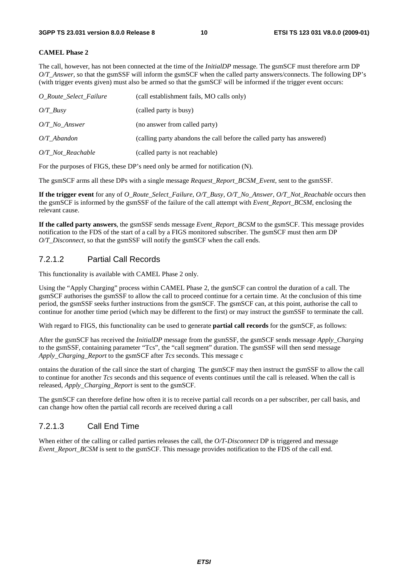#### **CAMEL Phase 2**

The call, however, has not been connected at the time of the *InitialDP* message. The gsmSCF must therefore arm DP *O/T\_Answer*, so that the gsmSSF will inform the gsmSCF when the called party answers/connects. The following DP's (with trigger events given) must also be armed so that the gsmSCF will be informed if the trigger event occurs:

| O Route Select Failure | (call establishment fails, MO calls only)                              |
|------------------------|------------------------------------------------------------------------|
| $O/T\_Busy$            | (called party is busy)                                                 |
| O/T No Answer          | (no answer from called party)                                          |
| $O/T$ Abandon          | (calling party abandons the call before the called party has answered) |
| $O/T$ Not Reachable    | (called party is not reachable)                                        |

For the purposes of FIGS, these DP's need only be armed for notification (N).

The gsmSCF arms all these DPs with a single message *Request\_Report\_BCSM\_Event*, sent to the gsmSSF.

**If the trigger event** for any of *O\_Route\_Select\_Failure, O/T\_Busy, O/T\_No\_Answer, O/T\_Not\_Reachable* occurs then the gsmSCF is informed by the gsmSSF of the failure of the call attempt with *Event\_Report\_BCSM*, enclosing the relevant cause.

**If the called party answers**, the gsmSSF sends message *Event\_Report\_BCSM* to the gsmSCF. This message provides notification to the FDS of the start of a call by a FIGS monitored subscriber. The gsmSCF must then arm DP *O/T\_Disconnect*, so that the gsmSSF will notify the gsmSCF when the call ends.

#### 7.2.1.2 Partial Call Records

This functionality is available with CAMEL Phase 2 only.

Using the "Apply Charging" process within CAMEL Phase 2, the gsmSCF can control the duration of a call. The gsmSCF authorises the gsmSSF to allow the call to proceed continue for a certain time. At the conclusion of this time period, the gsmSSF seeks further instructions from the gsmSCF. The gsmSCF can, at this point, authorise the call to continue for another time period (which may be different to the first) or may instruct the gsmSSF to terminate the call.

With regard to FIGS, this functionality can be used to generate **partial call records** for the gsmSCF, as follows:

After the gsmSCF has received the *InitialDP* message from the gsmSSF, the gsmSCF sends message *Apply\_Charging* to the gsmSSF, containing parameter "Tcs", the "call segment" duration. The gsmSSF will then send message *Apply\_Charging\_Report* to the gsmSCF after *Tcs* seconds. This message c

ontains the duration of the call since the start of charging The gsmSCF may then instruct the gsmSSF to allow the call to continue for another *Tcs* seconds and this sequence of events continues until the call is released. When the call is released, *Apply\_Charging\_Report* is sent to the gsmSCF.

The gsmSCF can therefore define how often it is to receive partial call records on a per subscriber, per call basis, and can change how often the partial call records are received during a call

#### 7.2.1.3 Call End Time

When either of the calling or called parties releases the call, the *O/T-Disconnect* DP is triggered and message *Event\_Report\_BCSM* is sent to the gsmSCF. This message provides notification to the FDS of the call end.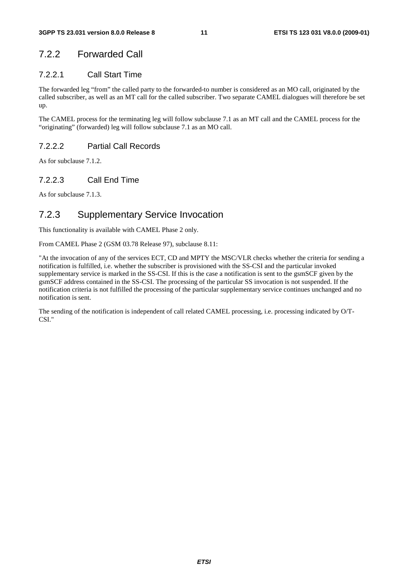### 7.2.2 Forwarded Call

#### 7.2.2.1 Call Start Time

The forwarded leg "from" the called party to the forwarded-to number is considered as an MO call, originated by the called subscriber, as well as an MT call for the called subscriber. Two separate CAMEL dialogues will therefore be set up.

The CAMEL process for the terminating leg will follow subclause 7.1 as an MT call and the CAMEL process for the "originating" (forwarded) leg will follow subclause 7.1 as an MO call.

#### 7.2.2.2 Partial Call Records

As for subclause 7.1.2.

#### 7.2.2.3 Call End Time

As for subclause 7.1.3.

### 7.2.3 Supplementary Service Invocation

This functionality is available with CAMEL Phase 2 only.

From CAMEL Phase 2 (GSM 03.78 Release 97), subclause 8.11:

"At the invocation of any of the services ECT, CD and MPTY the MSC/VLR checks whether the criteria for sending a notification is fulfilled, i.e. whether the subscriber is provisioned with the SS-CSI and the particular invoked supplementary service is marked in the SS-CSI. If this is the case a notification is sent to the gsmSCF given by the gsmSCF address contained in the SS-CSI. The processing of the particular SS invocation is not suspended. If the notification criteria is not fulfilled the processing of the particular supplementary service continues unchanged and no notification is sent.

The sending of the notification is independent of call related CAMEL processing, i.e. processing indicated by O/T-CSI."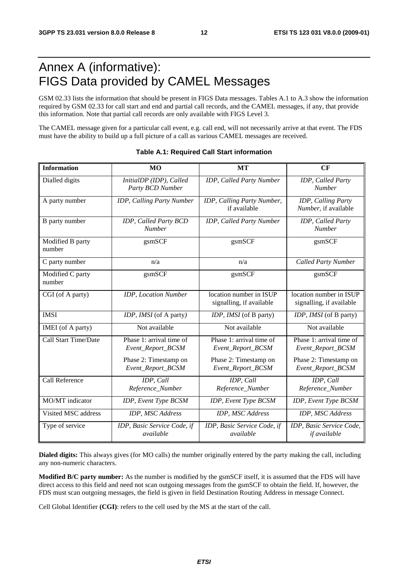# Annex A (informative): FIGS Data provided by CAMEL Messages

GSM 02.33 lists the information that should be present in FIGS Data messages. Tables A.1 to A.3 show the information required by GSM 02.33 for call start and end and partial call records, and the CAMEL messages, if any, that provide this information. Note that partial call records are only available with FIGS Level 3.

The CAMEL message given for a particular call event, e.g. call end, will not necessarily arrive at that event. The FDS must have the ability to build up a full picture of a call as various CAMEL messages are received.

| <b>Information</b>         | <b>MO</b>                                                              | <b>MT</b>                                                              | CF                                                                     |
|----------------------------|------------------------------------------------------------------------|------------------------------------------------------------------------|------------------------------------------------------------------------|
| Dialled digits             | InitialDP (IDP), Called<br>Party BCD Number                            | IDP, Called Party Number                                               | IDP, Called Party<br><b>Number</b>                                     |
| A party number             | IDP, Calling Party Number                                              | IDP, Calling Party Number,<br>if available                             | IDP, Calling Party<br>Number, if available                             |
| B party number             | IDP, Called Party BCD<br><b>Number</b>                                 | IDP, Called Party Number                                               | IDP, Called Party<br><b>Number</b>                                     |
| Modified B party<br>number | gsmSCF                                                                 | gsmSCF                                                                 | gsmSCF                                                                 |
| C party number             | n/a                                                                    | n/a                                                                    | <b>Called Party Number</b>                                             |
| Modified C party<br>number | gsmSCF                                                                 | gsmSCF                                                                 | gsmSCF                                                                 |
| CGI (of A party)           | <b>IDP</b> , Location Number                                           | location number in ISUP<br>signalling, if available                    | location number in ISUP<br>signalling, if available                    |
| <b>IMSI</b>                | IDP, IMSI (of A party)                                                 | IDP, IMSI (of B party)                                                 | IDP, IMSI (of B party)                                                 |
| IMEI (of A party)          | Not available                                                          | Not available                                                          | Not available                                                          |
| Call Start Time/Date       | Phase 1: arrival time of<br>Event_Report_BCSM<br>Phase 2: Timestamp on | Phase 1: arrival time of<br>Event_Report_BCSM<br>Phase 2: Timestamp on | Phase 1: arrival time of<br>Event_Report_BCSM<br>Phase 2: Timestamp on |
|                            | Event_Report_BCSM                                                      | Event_Report_BCSM                                                      | Event_Report_BCSM                                                      |
| Call Reference             | IDP, Call<br>Reference_Number                                          | IDP, Call<br>Reference_Number                                          | IDP, Call<br>Reference_Number                                          |
| MO/MT indicator            | IDP, Event Type BCSM                                                   | IDP, Event Type BCSM                                                   | IDP, Event Type BCSM                                                   |
| Visited MSC address        | IDP, MSC Address                                                       | IDP, MSC Address                                                       | IDP, MSC Address                                                       |
| Type of service            | IDP, Basic Service Code, if<br>available                               | IDP, Basic Service Code, if<br>available                               | IDP, Basic Service Code,<br>if available                               |

#### **Table A.1: Required Call Start information**

**Dialed digits:** This always gives (for MO calls) the number originally entered by the party making the call, including any non-numeric characters.

**Modified B/C party number:** As the number is modified by the gsmSCF itself, it is assumed that the FDS will have direct access to this field and need not scan outgoing messages from the gsmSCF to obtain the field. If, however, the FDS must scan outgoing messages, the field is given in field Destination Routing Address in message Connect.

Cell Global Identifier **(CGI)**: refers to the cell used by the MS at the start of the call.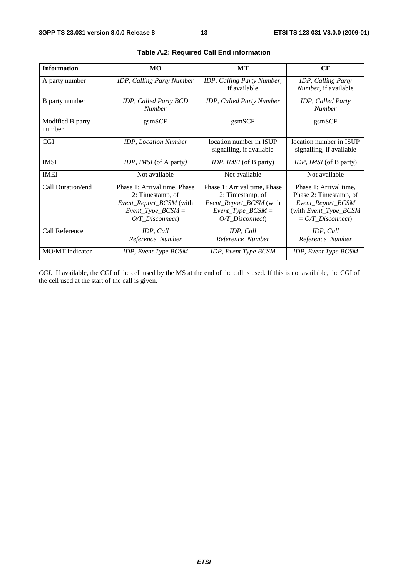| <b>Information</b>         | MO                                                                                                                        | МT                                                                                                                        | CF                                                                                                                             |
|----------------------------|---------------------------------------------------------------------------------------------------------------------------|---------------------------------------------------------------------------------------------------------------------------|--------------------------------------------------------------------------------------------------------------------------------|
| A party number             | IDP, Calling Party Number                                                                                                 | IDP, Calling Party Number,<br>if available                                                                                | IDP, Calling Party<br>Number, if available                                                                                     |
| B party number             | IDP, Called Party BCD<br><b>Number</b>                                                                                    | <b>IDP, Called Party Number</b>                                                                                           | IDP, Called Party<br><b>Number</b>                                                                                             |
| Modified B party<br>number | gsmSCF                                                                                                                    | gsmSCF                                                                                                                    | gsmSCF                                                                                                                         |
| <b>CGI</b>                 | <b>IDP</b> , Location Number                                                                                              | location number in ISUP<br>signalling, if available                                                                       | location number in ISUP<br>signalling, if available                                                                            |
| <b>IMSI</b>                | <i>IDP, IMSI</i> (of A party)                                                                                             | IDP, IMSI (of B party)                                                                                                    | <i>IDP, IMSI</i> (of B party)                                                                                                  |
| <b>IMEI</b>                | Not available                                                                                                             | Not available                                                                                                             | Not available                                                                                                                  |
| Call Duration/end          | Phase 1: Arrival time, Phase<br>2: Timestamp, of<br>Event_Report_BCSM (with<br>$Event\_Type\_BCSM =$<br>$O/T$ Disconnect) | Phase 1: Arrival time, Phase<br>2: Timestamp, of<br>Event_Report_BCSM (with<br>$Event\_Type\_BCSM =$<br>$O/T$ Disconnect) | Phase 1: Arrival time,<br>Phase 2: Timestamp, of<br>Event_Report_BCSM<br>(with Event_Type_BCSM<br>$= O/T_D$ <i>isconnect</i> ) |
| Call Reference             | IDP, Call<br>Reference_Number                                                                                             | IDP, Call<br>Reference_Number                                                                                             | IDP, Call<br>Reference_Number                                                                                                  |
| MO/MT indicator            | IDP, Event Type BCSM                                                                                                      | IDP, Event Type BCSM                                                                                                      | IDP, Event Type BCSM                                                                                                           |

|  | Table A.2: Required Call End information |
|--|------------------------------------------|
|--|------------------------------------------|

*CGI*. If available, the CGI of the cell used by the MS at the end of the call is used. If this is not available, the CGI of the cell used at the start of the call is given.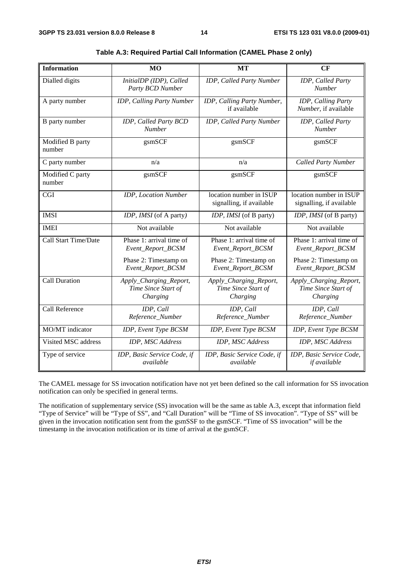| <b>Information</b>         | MO                                                        | MT                                                        | CF                                                        |
|----------------------------|-----------------------------------------------------------|-----------------------------------------------------------|-----------------------------------------------------------|
| Dialled digits             | InitialDP (IDP), Called<br>Party BCD Number               | IDP, Called Party Number                                  | IDP, Called Party<br><b>Number</b>                        |
| A party number             | IDP, Calling Party Number                                 | IDP, Calling Party Number,<br>if available                | IDP, Calling Party<br>Number, if available                |
| B party number             | IDP, Called Party BCD<br><b>Number</b>                    | IDP, Called Party Number                                  | IDP, Called Party<br><b>Number</b>                        |
| Modified B party<br>number | gsmSCF                                                    | gsmSCF                                                    | gsmSCF                                                    |
| C party number             | n/a                                                       | n/a                                                       | <b>Called Party Number</b>                                |
| Modified C party<br>number | gsmSCF                                                    | gsmSCF                                                    | gsmSCF                                                    |
| <b>CGI</b>                 | <b>IDP</b> , Location Number                              | location number in ISUP<br>signalling, if available       | location number in ISUP<br>signalling, if available       |
| <b>IMSI</b>                | IDP, IMSI (of A party)                                    | IDP, IMSI (of B party)                                    | IDP, IMSI (of B party)                                    |
| <b>IMEI</b>                | Not available                                             | Not available                                             | Not available                                             |
| Call Start Time/Date       | Phase 1: arrival time of<br>Event_Report_BCSM             | Phase 1: arrival time of<br>Event_Report_BCSM             | Phase 1: arrival time of<br>Event_Report_BCSM             |
|                            | Phase 2: Timestamp on<br>Event_Report_BCSM                | Phase 2: Timestamp on<br>Event_Report_BCSM                | Phase 2: Timestamp on<br>Event_Report_BCSM                |
| <b>Call Duration</b>       | Apply_Charging_Report,<br>Time Since Start of<br>Charging | Apply_Charging_Report,<br>Time Since Start of<br>Charging | Apply_Charging_Report,<br>Time Since Start of<br>Charging |
| Call Reference             | IDP, Call<br>Reference_Number                             | IDP, Call<br>Reference_Number                             | IDP, Call<br>Reference_Number                             |
| MO/MT indicator            | IDP, Event Type BCSM                                      | IDP, Event Type BCSM                                      | IDP, Event Type BCSM                                      |
| Visited MSC address        | <b>IDP</b> , MSC Address                                  | IDP, MSC Address                                          | IDP, MSC Address                                          |
| Type of service            | IDP, Basic Service Code, if<br>available                  | IDP, Basic Service Code, if<br>available                  | IDP, Basic Service Code,<br>if available                  |

| Table A.3: Required Partial Call Information (CAMEL Phase 2 only) |  |
|-------------------------------------------------------------------|--|
|-------------------------------------------------------------------|--|

The CAMEL message for SS invocation notification have not yet been defined so the call information for SS invocation notification can only be specified in general terms.

The notification of supplementary service (SS) invocation will be the same as table A.3, except that information field "Type of Service" will be "Type of SS", and "Call Duration" will be "Time of SS invocation". "Type of SS" will be given in the invocation notification sent from the gsmSSF to the gsmSCF. "Time of SS invocation" will be the timestamp in the invocation notification or its time of arrival at the gsmSCF.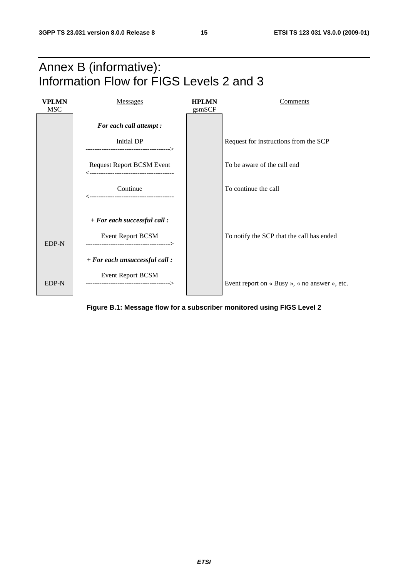



**Figure B.1: Message flow for a subscriber monitored using FIGS Level 2**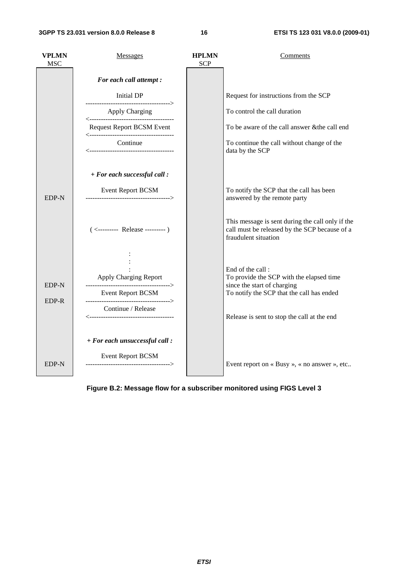| <b>VPLMN</b><br><b>MSC</b> | <b>Messages</b>                                                                                                    | <b>HPLMN</b><br><b>SCP</b> | Comments                                                                                                                                                                                |
|----------------------------|--------------------------------------------------------------------------------------------------------------------|----------------------------|-----------------------------------------------------------------------------------------------------------------------------------------------------------------------------------------|
|                            | For each call attempt :                                                                                            |                            |                                                                                                                                                                                         |
|                            | Initial DP<br>-------------------------------------->                                                              |                            | Request for instructions from the SCP                                                                                                                                                   |
|                            | <b>Apply Charging</b>                                                                                              |                            | To control the call duration                                                                                                                                                            |
|                            | <b>Request Report BCSM Event</b>                                                                                   |                            | To be aware of the call answer & the call end                                                                                                                                           |
|                            | Continue                                                                                                           |                            | To continue the call without change of the<br>data by the SCP                                                                                                                           |
|                            | + For each successful call :                                                                                       |                            |                                                                                                                                                                                         |
| EDP-N                      | <b>Event Report BCSM</b><br>------------------------------------->                                                 |                            | To notify the SCP that the call has been<br>answered by the remote party                                                                                                                |
|                            | $(\leftarrow$ --------- Release ---------)                                                                         |                            | This message is sent during the call only if the<br>call must be released by the SCP because of a<br>fraudulent situation                                                               |
| EDP-N<br>EDP-R             | Apply Charging Report<br>--------------------------------------><br><b>Event Report BCSM</b><br>Continue / Release |                            | End of the call:<br>To provide the SCP with the elapsed time<br>since the start of charging<br>To notify the SCP that the call has ended<br>Release is sent to stop the call at the end |
| <b>EDP-N</b>               | + For each unsuccessful call :<br><b>Event Report BCSM</b>                                                         |                            | Event report on « Busy », « no answer », etc                                                                                                                                            |

**Figure B.2: Message flow for a subscriber monitored using FIGS Level 3**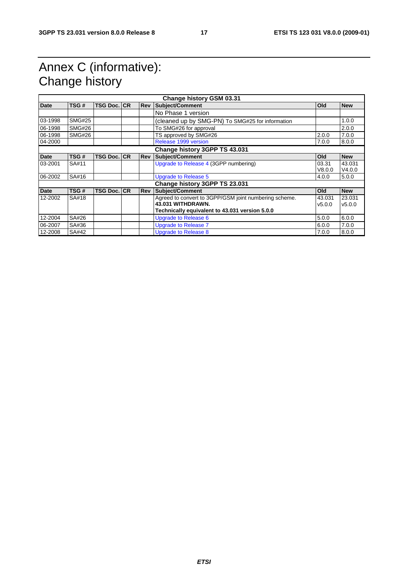# Annex C (informative): Change history

| Change history GSM 03.31 |                               |                    |  |            |                                                       |            |            |
|--------------------------|-------------------------------|--------------------|--|------------|-------------------------------------------------------|------------|------------|
| <b>Date</b>              | TSG#                          | <b>TSG Doc. CR</b> |  | <b>Rev</b> | Subject/Comment                                       | <b>Old</b> | <b>New</b> |
|                          |                               |                    |  |            | No Phase 1 version                                    |            |            |
| 03-1998                  | <b>SMG#25</b>                 |                    |  |            | (cleaned up by SMG-PN) To SMG#25 for information      |            | 1.0.0      |
| 06-1998                  | <b>SMG#26</b>                 |                    |  |            | To SMG#26 for approval                                |            | 2.0.0      |
| 06-1998                  | <b>SMG#26</b>                 |                    |  |            | TS approved by SMG#26                                 | 2.0.0      | 7.0.0      |
| 04-2000                  |                               |                    |  |            | Release 1999 version                                  | 7.0.0      | 8.0.0      |
|                          |                               |                    |  |            | Change history 3GPP TS 43.031                         |            |            |
| <b>Date</b>              | TSG#                          | <b>TSG Doc. CR</b> |  | <b>Rev</b> | Subject/Comment                                       | <b>Old</b> | <b>New</b> |
| 03-2001                  | SA#11                         |                    |  |            | Upgrade to Release 4 (3GPP numbering)                 | 03.31      | 43.031     |
|                          |                               |                    |  |            |                                                       | V8.0.0     | V4.0.0     |
| 06-2002                  | SA#16                         |                    |  |            | <b>Upgrade to Release 5</b>                           | 4.0.0      | 5.0.0      |
|                          | Change history 3GPP TS 23.031 |                    |  |            |                                                       |            |            |
| <b>Date</b>              | TSG#                          | <b>TSG Doc. CR</b> |  | <b>Rev</b> | <b>Subject/Comment</b>                                | <b>Old</b> | <b>New</b> |
| 12-2002                  | SA#18                         |                    |  |            | Agreed to convert to 3GPP/GSM joint numbering scheme. | 43.031     | 23.031     |
|                          |                               |                    |  |            | 43.031 WITHDRAWN.                                     | v5.0.0     | v5.0.0     |
|                          |                               |                    |  |            | Technically equivalent to 43.031 version 5.0.0        |            |            |
| 12-2004                  | SA#26                         |                    |  |            | <b>Upgrade to Release 6</b>                           | 5.0.0      | 6.0.0      |
| 06-2007                  | SA#36                         |                    |  |            | Upgrade to Release 7                                  | 6.0.0      | 7.0.0      |
| 12-2008                  | SA#42                         |                    |  |            | Upgrade to Release 8                                  | 7.0.0      | 8.0.0      |